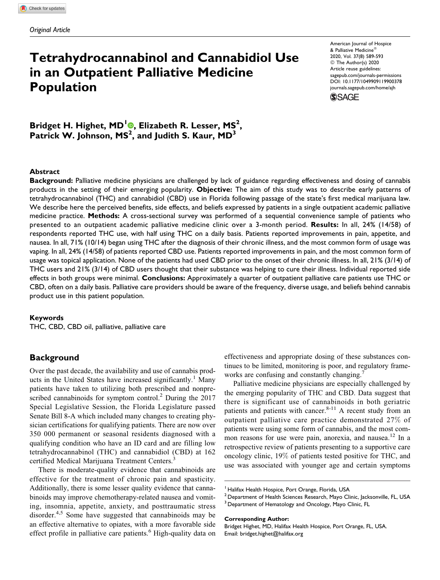# Tetrahydrocannabinol and Cannabidiol Use in an Outpatient Palliative Medicine Population

American Journal of Hospice & Palliative Medicine 2020, Vol. 37(8) 589-593 © The Author(s) 2020 Article reuse guidelines: [sagepub.com/journals-permissions](https://sagepub.com/journals-permissions) [DOI: 10.1177/1049909119900378](https://doi.org/10.1177/1049909119900378) [journals.sagepub.com/home/ajh](http://journals.sagepub.com/home/ajh)

**SSAGE** 

Bridget H. Highet[,](https://orcid.org/0000-0002-9064-4736) MD<sup>I</sup> (0, Elizabeth R. Lesser, MS<sup>2</sup>, Patrick W. Johnson, MS<sup>2</sup>, and Judith S. Kaur, MD<sup>3</sup>

#### Abstract

Background: Palliative medicine physicians are challenged by lack of guidance regarding effectiveness and dosing of cannabis products in the setting of their emerging popularity. Objective: The aim of this study was to describe early patterns of tetrahydrocannabinol (THC) and cannabidiol (CBD) use in Florida following passage of the state's first medical marijuana law. We describe here the perceived benefits, side effects, and beliefs expressed by patients in a single outpatient academic palliative medicine practice. Methods: A cross-sectional survey was performed of a sequential convenience sample of patients who presented to an outpatient academic palliative medicine clinic over a 3-month period. Results: In all, 24% (14/58) of respondents reported THC use, with half using THC on a daily basis. Patients reported improvements in pain, appetite, and nausea. In all, 71% (10/14) began using THC after the diagnosis of their chronic illness, and the most common form of usage was vaping. In all, 24% (14/58) of patients reported CBD use. Patients reported improvements in pain, and the most common form of usage was topical application. None of the patients had used CBD prior to the onset of their chronic illness. In all, 21% (3/14) of THC users and 21% (3/14) of CBD users thought that their substance was helping to cure their illness. Individual reported side effects in both groups were minimal. Conclusions: Approximately a quarter of outpatient palliative care patients use THC or CBD, often on a daily basis. Palliative care providers should be aware of the frequency, diverse usage, and beliefs behind cannabis product use in this patient population.

#### Keywords

THC, CBD, CBD oil, palliative, palliative care

# **Background**

Over the past decade, the availability and use of cannabis products in the United States have increased significantly.<sup>1</sup> Many patients have taken to utilizing both prescribed and nonprescribed cannabinoids for symptom control.<sup>2</sup> During the  $2017$ Special Legislative Session, the Florida Legislature passed Senate Bill 8-A which included many changes to creating physician certifications for qualifying patients. There are now over 350 000 permanent or seasonal residents diagnosed with a qualifying condition who have an ID card and are filling low tetrahydrocannabinol (THC) and cannabidiol (CBD) at 162 certified Medical Marijuana Treatment Centers.<sup>3</sup>

There is moderate-quality evidence that cannabinoids are effective for the treatment of chronic pain and spasticity. Additionally, there is some lesser quality evidence that cannabinoids may improve chemotherapy-related nausea and vomiting, insomnia, appetite, anxiety, and posttraumatic stress disorder.<sup>4,5</sup> Some have suggested that cannabinoids may be an effective alternative to opiates, with a more favorable side effect profile in palliative care patients.<sup>6</sup> High-quality data on effectiveness and appropriate dosing of these substances continues to be limited, monitoring is poor, and regulatory frameworks are confusing and constantly changing.

Palliative medicine physicians are especially challenged by the emerging popularity of THC and CBD. Data suggest that there is significant use of cannabinoids in both geriatric patients and patients with cancer. $8-11$  A recent study from an outpatient palliative care practice demonstrated 27% of patients were using some form of cannabis, and the most common reasons for use were pain, anorexia, and nausea.<sup>12</sup> In a retrospective review of patients presenting to a supportive care oncology clinic, 19% of patients tested positive for THC, and use was associated with younger age and certain symptoms

Corresponding Author:

<sup>&</sup>lt;sup>1</sup> Halifax Health Hospice, Port Orange, Florida, USA

 $2$  Department of Health Sciences Research, Mayo Clinic, Jacksonville, FL, USA

<sup>&</sup>lt;sup>3</sup> Department of Hematology and Oncology, Mayo Clinic, FL

Bridget Highet, MD, Halifax Health Hospice, Port Orange, FL, USA. Email: [bridget.highet@halifax.org](mailto:bridget.highet@halifax.org)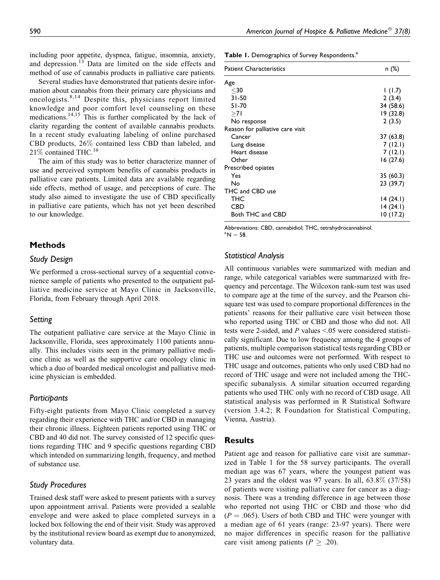including poor appetite, dyspnea, fatigue, insomnia, anxiety, and depression.<sup>13</sup> Data are limited on the side effects and method of use of cannabis products in palliative care patients.

Several studies have demonstrated that patients desire information about cannabis from their primary care physicians and oncologists.<sup>8,14</sup> Despite this, physicians report limited knowledge and poor comfort level counseling on these medications.14,15 This is further complicated by the lack of clarity regarding the content of available cannabis products. In a recent study evaluating labeling of online purchased CBD products, 26% contained less CBD than labeled, and 21% contained THC.<sup>16</sup>

The aim of this study was to better characterize manner of use and perceived symptom benefits of cannabis products in palliative care patients. Limited data are available regarding side effects, method of usage, and perceptions of cure. The study also aimed to investigate the use of CBD specifically in palliative care patients, which has not yet been described to our knowledge.

# Methods

#### Study Design

We performed a cross-sectional survey of a sequential convenience sample of patients who presented to the outpatient palliative medicine service at Mayo Clinic in Jacksonville, Florida, from February through April 2018.

## Setting

The outpatient palliative care service at the Mayo Clinic in Jacksonville, Florida, sees approximately 1100 patients annually. This includes visits seen in the primary palliative medicine clinic as well as the supportive care oncology clinic in which a duo of boarded medical oncologist and palliative medicine physician is embedded.

## Participants

Fifty-eight patients from Mayo Clinic completed a survey regarding their experience with THC and/or CBD in managing their chronic illness. Eighteen patients reported using THC or CBD and 40 did not. The survey consisted of 12 specific questions regarding THC and 9 specific questions regarding CBD which intended on summarizing length, frequency, and method of substance use.

## Study Procedures

Trained desk staff were asked to present patients with a survey upon appointment arrival. Patients were provided a sealable envelope and were asked to place completed surveys in a locked box following the end of their visit. Study was approved by the institutional review board as exempt due to anonymized, voluntary data.

Table 1. Demographics of Survey Respondents.<sup>a</sup>

| <b>Patient Characteristics</b>   | n (%)     |
|----------------------------------|-----------|
| Age                              |           |
| $30$                             | 1(1.7)    |
| $31 - 50$                        | 2(3.4)    |
| $51 - 70$                        | 34 (58.6) |
| >71                              | 19(32.8)  |
| No response                      | 2(3.5)    |
| Reason for palliative care visit |           |
| Cancer                           | 37 (63.8) |
| Lung disease                     | 7(12.1)   |
| Heart disease                    | 7(12.1)   |
| Other                            | 16(27.6)  |
| Prescribed opiates               |           |
| Yes                              | 35(60.3)  |
| Nο                               | 23 (39.7) |
| THC and CBD use                  |           |
| THC                              | 14(24.1)  |
| <b>CBD</b>                       | 14(24.1)  |
| Both THC and CBD                 | 10(17.2)  |

Abbreviations: CBD, cannabidiol; THC, tetrahydrocannabinol.

 ${}^{\rm a}$ N = 58.

## Statistical Analysis

All continuous variables were summarized with median and range, while categorical variables were summarized with frequency and percentage. The Wilcoxon rank-sum test was used to compare age at the time of the survey, and the Pearson chisquare test was used to compare proportional differences in the patients' reasons for their palliative care visit between those who reported using THC or CBD and those who did not. All tests were 2-sided, and  $P$  values <.05 were considered statistically significant. Due to low frequency among the 4 groups of patients, multiple comparison statistical tests regarding CBD or THC use and outcomes were not performed. With respect to THC usage and outcomes, patients who only used CBD had no record of THC usage and were not included among the THCspecific subanalysis. A similar situation occurred regarding patients who used THC only with no record of CBD usage. All statistical analysis was performed in R Statistical Software (version 3.4.2; R Foundation for Statistical Computing, Vienna, Austria).

## Results

Patient age and reason for palliative care visit are summarized in Table 1 for the 58 survey participants. The overall median age was 67 years, where the youngest patient was 23 years and the oldest was 97 years. In all, 63.8% (37/58) of patients were visiting palliative care for cancer as a diagnosis. There was a trending difference in age between those who reported not using THC or CBD and those who did  $(P = .065)$ . Users of both CBD and THC were younger with a median age of 61 years (range: 23-97 years). There were no major differences in specific reason for the palliative care visit among patients ( $P \geq .20$ ).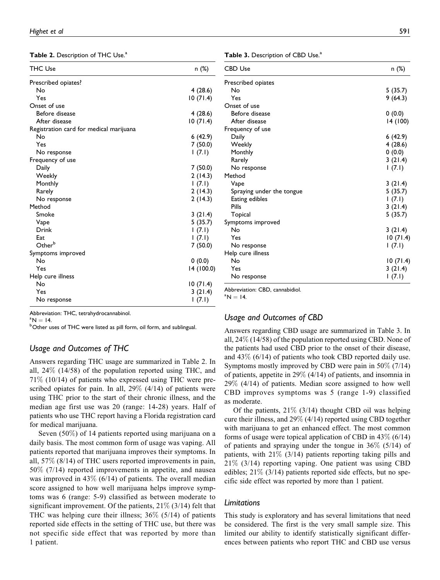Table 2. Description of THC Use.<sup>a</sup>

| <b>THC Use</b>                          | n (%)      |
|-----------------------------------------|------------|
| Prescribed opiates?                     |            |
| No                                      | 4(28.6)    |
| Yes                                     | 10(71.4)   |
| Onset of use                            |            |
| Before disease                          | 4 (28.6)   |
| After disease                           | 10(71.4)   |
| Registration card for medical marijuana |            |
| No                                      | 6(42.9)    |
| Yes                                     | 7(50.0)    |
| No response                             | 1(7.1)     |
| Frequency of use                        |            |
| Daily                                   | 7(50.0)    |
| Weekly                                  | 2(14.3)    |
| Monthly                                 | (7.1)      |
| Rarely                                  | 2(14.3)    |
| No response                             | 2(14.3)    |
| Method                                  |            |
| Smoke                                   | 3(21.4)    |
| Vape                                    | 5(35.7)    |
| Drink                                   | 1(7.1)     |
| Eat                                     | 1(7.1)     |
| Other <sup>b</sup>                      | 7(50.0)    |
| Symptoms improved                       |            |
| No                                      | 0(0.0)     |
| Yes                                     | 14 (100.0) |
| Help cure illness                       |            |
| No                                      | 10(71.4)   |
| Yes                                     | 3(21.4)    |
| No response                             | (7.1)      |

Abbreviation: THC, tetrahydrocannabinol.

 $\mathrm{^a N} = 14.$ 

<sup>a</sup>N = 14.<br><sup>b</sup>Other uses of THC were listed as pill form, oil form, and sublingual.

# Usage and Outcomes of THC

Answers regarding THC usage are summarized in Table 2. In all, 24% (14/58) of the population reported using THC, and 71% (10/14) of patients who expressed using THC were prescribed opiates for pain. In all,  $29\%$  (4/14) of patients were using THC prior to the start of their chronic illness, and the median age first use was 20 (range: 14-28) years. Half of patients who use THC report having a Florida registration card for medical marijuana.

Seven (50%) of 14 patients reported using marijuana on a daily basis. The most common form of usage was vaping. All patients reported that marijuana improves their symptoms. In all, 57% (8/14) of THC users reported improvements in pain, 50% (7/14) reported improvements in appetite, and nausea was improved in  $43\%$  (6/14) of patients. The overall median score assigned to how well marijuana helps improve symptoms was 6 (range: 5-9) classified as between moderate to significant improvement. Of the patients,  $21\%$  (3/14) felt that THC was helping cure their illness;  $36\%$  (5/14) of patients reported side effects in the setting of THC use, but there was not specific side effect that was reported by more than 1 patient.

Table 3. Description of CBD Use.<sup>a</sup>

| <b>CBD Use</b>            | n (%)     |
|---------------------------|-----------|
| Prescribed opiates        |           |
| No                        | 5(35.7)   |
| Yes                       | 9(64.3)   |
| Onset of use              |           |
| Before disease            | 0(0.0)    |
| After disease             | 14 (100)  |
| Frequency of use          |           |
| Daily                     | 6(42.9)   |
| Weekly                    | 4(28.6)   |
| Monthly                   | 0(0.0)    |
| Rarely                    | 3(21.4)   |
| No response               | (7.1)     |
| Method                    |           |
| Vape                      | 3(21.4)   |
| Spraying under the tongue | 5(35.7)   |
| Eating edibles            | 1(7.1)    |
| Pills                     | 3(21.4)   |
| Topical                   | 5(35.7)   |
| Symptoms improved         |           |
| No                        | 3(21.4)   |
| Yes                       | 10(71.4)  |
| No response               | 1(7.1)    |
| Help cure illness         |           |
| No                        | 10 (71.4) |
| Yes                       | 3(21.4)   |
| No response               | 1(7.1)    |

Abbreviation: CBD, cannabidiol.

 $^{\circ}N = 14.$ 

# Usage and Outcomes of CBD

Answers regarding CBD usage are summarized in Table 3. In all, 24% (14/58) of the population reported using CBD. None of the patients had used CBD prior to the onset of their disease, and 43% (6/14) of patients who took CBD reported daily use. Symptoms mostly improved by CBD were pain in 50% (7/14) of patients, appetite in 29% (4/14) of patients, and insomnia in 29% (4/14) of patients. Median score assigned to how well CBD improves symptoms was 5 (range 1-9) classified as moderate.

Of the patients, 21% (3/14) thought CBD oil was helping cure their illness, and 29% (4/14) reported using CBD together with marijuana to get an enhanced effect. The most common forms of usage were topical application of CBD in  $43\%$  (6/14) of patients and spraying under the tongue in 36% (5/14) of patients, with  $21\%$  (3/14) patients reporting taking pills and 21% (3/14) reporting vaping. One patient was using CBD edibles;  $21\%$  (3/14) patients reported side effects, but no specific side effect was reported by more than 1 patient.

## **Limitations**

This study is exploratory and has several limitations that need be considered. The first is the very small sample size. This limited our ability to identify statistically significant differences between patients who report THC and CBD use versus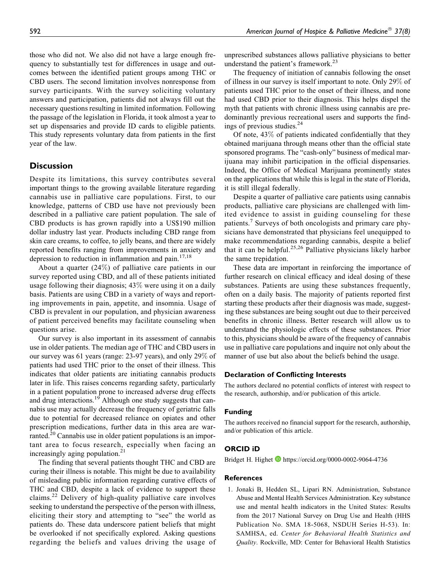those who did not. We also did not have a large enough frequency to substantially test for differences in usage and outcomes between the identified patient groups among THC or CBD users. The second limitation involves nonresponse from survey participants. With the survey soliciting voluntary answers and participation, patients did not always fill out the necessary questions resulting in limited information. Following the passage of the legislation in Florida, it took almost a year to set up dispensaries and provide ID cards to eligible patients. This study represents voluntary data from patients in the first year of the law.

# **Discussion**

Despite its limitations, this survey contributes several important things to the growing available literature regarding cannabis use in palliative care populations. First, to our knowledge, patterns of CBD use have not previously been described in a palliative care patient population. The sale of CBD products is has grown rapidly into a US\$190 million dollar industry last year. Products including CBD range from skin care creams, to coffee, to jelly beans, and there are widely reported benefits ranging from improvements in anxiety and depression to reduction in inflammation and pain. $17,18$ 

About a quarter (24%) of palliative care patients in our survey reported using CBD, and all of these patients initiated usage following their diagnosis; 43% were using it on a daily basis. Patients are using CBD in a variety of ways and reporting improvements in pain, appetite, and insomnia. Usage of CBD is prevalent in our population, and physician awareness of patient perceived benefits may facilitate counseling when questions arise.

Our survey is also important in its assessment of cannabis use in older patients. The median age of THC and CBD users in our survey was 61 years (range: 23-97 years), and only 29% of patients had used THC prior to the onset of their illness. This indicates that older patients are initiating cannabis products later in life. This raises concerns regarding safety, particularly in a patient population prone to increased adverse drug effects and drug interactions.<sup>19</sup> Although one study suggests that cannabis use may actually decrease the frequency of geriatric falls due to potential for decreased reliance on opiates and other prescription medications, further data in this area are warranted.<sup>20</sup> Cannabis use in older patient populations is an important area to focus research, especially when facing an increasingly aging population.<sup>21</sup>

The finding that several patients thought THC and CBD are curing their illness is notable. This might be due to availability of misleading public information regarding curative effects of THC and CBD, despite a lack of evidence to support these claims.<sup>22</sup> Delivery of high-quality palliative care involves seeking to understand the perspective of the person with illness, eliciting their story and attempting to "see" the world as patients do. These data underscore patient beliefs that might be overlooked if not specifically explored. Asking questions regarding the beliefs and values driving the usage of unprescribed substances allows palliative physicians to better understand the patient's framework.<sup>23</sup>

The frequency of initiation of cannabis following the onset of illness in our survey is itself important to note. Only 29% of patients used THC prior to the onset of their illness, and none had used CBD prior to their diagnosis. This helps dispel the myth that patients with chronic illness using cannabis are predominantly previous recreational users and supports the findings of previous studies.<sup>24</sup>

Of note, 43% of patients indicated confidentially that they obtained marijuana through means other than the official state sponsored programs. The "cash-only" business of medical marijuana may inhibit participation in the official dispensaries. Indeed, the Office of Medical Marijuana prominently states on the applications that while this is legal in the state of Florida, it is still illegal federally.

Despite a quarter of palliative care patients using cannabis products, palliative care physicians are challenged with limited evidence to assist in guiding counseling for these patients.<sup>7</sup> Surveys of both oncologists and primary care physicians have demonstrated that physicians feel unequipped to make recommendations regarding cannabis, despite a belief that it can be helpful.<sup>25,26</sup> Palliative physicians likely harbor the same trepidation.

These data are important in reinforcing the importance of further research on clinical efficacy and ideal dosing of these substances. Patients are using these substances frequently, often on a daily basis. The majority of patients reported first starting these products after their diagnosis was made, suggesting these substances are being sought out due to their perceived benefits in chronic illness. Better research will allow us to understand the physiologic effects of these substances. Prior to this, physicians should be aware of the frequency of cannabis use in palliative care populations and inquire not only about the manner of use but also about the beliefs behind the usage.

## Declaration of Conflicting Interests

The authors declared no potential conflicts of interest with respect to the research, authorship, and/or publication of this article.

#### Funding

The authors received no financial support for the research, authorship, and/or publication of this article.

#### ORCID iD

Bridget H. Highet **<https://orcid.org/0000-0002-9064-4736>** 

#### References

1. Jonaki B, Hedden SL, Lipari RN. Administration, Substance Abuse and Mental Health Services Administration. Key substance use and mental health indicators in the United States: Results from the 2017 National Survey on Drug Use and Health (HHS Publication No. SMA 18-5068, NSDUH Series H-53). In: SAMHSA, ed. Center for Behavioral Health Statistics and Quality. Rockville, MD: Center for Behavioral Health Statistics